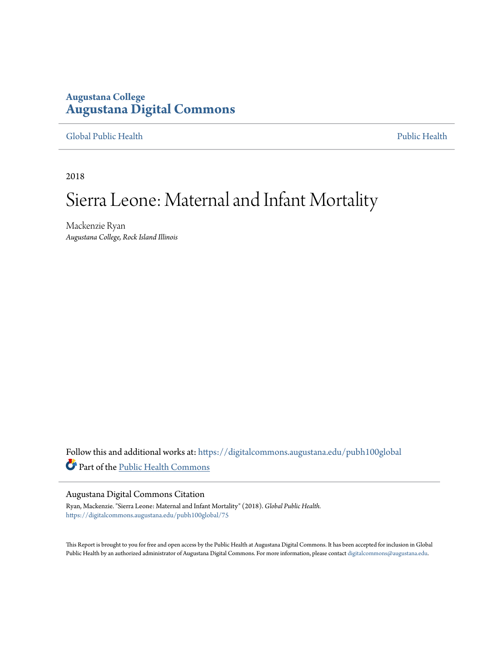## **Augustana College [Augustana Digital Commons](https://digitalcommons.augustana.edu?utm_source=digitalcommons.augustana.edu%2Fpubh100global%2F75&utm_medium=PDF&utm_campaign=PDFCoverPages)**

#### [Global Public Health](https://digitalcommons.augustana.edu/pubh100global?utm_source=digitalcommons.augustana.edu%2Fpubh100global%2F75&utm_medium=PDF&utm_campaign=PDFCoverPages) [Public Health](https://digitalcommons.augustana.edu/publichealth?utm_source=digitalcommons.augustana.edu%2Fpubh100global%2F75&utm_medium=PDF&utm_campaign=PDFCoverPages)

2018

# Sierra Leone: Maternal and Infant Mortality

Mackenzie Ryan *Augustana College, Rock Island Illinois*

Follow this and additional works at: [https://digitalcommons.augustana.edu/pubh100global](https://digitalcommons.augustana.edu/pubh100global?utm_source=digitalcommons.augustana.edu%2Fpubh100global%2F75&utm_medium=PDF&utm_campaign=PDFCoverPages) Part of the [Public Health Commons](http://network.bepress.com/hgg/discipline/738?utm_source=digitalcommons.augustana.edu%2Fpubh100global%2F75&utm_medium=PDF&utm_campaign=PDFCoverPages)

#### Augustana Digital Commons Citation

Ryan, Mackenzie. "Sierra Leone: Maternal and Infant Mortality" (2018). *Global Public Health.* [https://digitalcommons.augustana.edu/pubh100global/75](https://digitalcommons.augustana.edu/pubh100global/75?utm_source=digitalcommons.augustana.edu%2Fpubh100global%2F75&utm_medium=PDF&utm_campaign=PDFCoverPages)

This Report is brought to you for free and open access by the Public Health at Augustana Digital Commons. It has been accepted for inclusion in Global Public Health by an authorized administrator of Augustana Digital Commons. For more information, please contact [digitalcommons@augustana.edu.](mailto:digitalcommons@augustana.edu)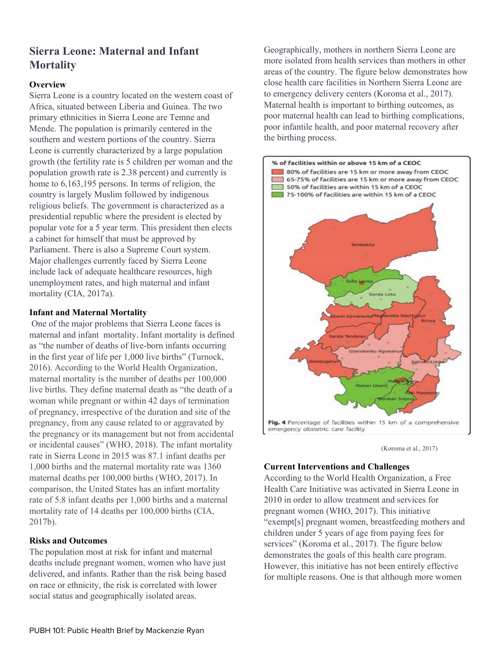## **Sierra Leone: Maternal and Infant Mortality**

### **Overview**

Sierra Leone is a country located on the western coast of Africa, situated between Liberia and Guinea. The two primary ethnicities in Sierra Leone are Temne and Mende. The population is primarily centered in the southern and western portions of the country. Sierra Leone is currently characterized by a large population growth (the fertility rate is 5 children per woman and the population growth rate is 2.38 percent) and currently is home to 6,163,195 persons. In terms of religion, the country is largely Muslim followed by indigenous religious beliefs. The government is characterized as a presidential republic where the president is elected by popular vote for a 5 year term. This president then elects a cabinet for himself that must be approved by Parliament. There is also a Supreme Court system. Major challenges currently faced by Sierra Leone include lack of adequate healthcare resources, high unemployment rates, and high maternal and infant mortality (CIA, 2017a).

### **Infant and Maternal Mortality**

One of the major problems that Sierra Leone faces is maternal and infant mortality. Infant mortality is defined as "the number of deaths of live-born infants occurring in the first year of life per 1,000 live births" (Turnock, 2016). According to the World Health Organization, maternal mortality is the number of deaths per 100,000 live births. They define maternal death as "the death of a woman while pregnant or within 42 days of termination of pregnancy, irrespective of the duration and site of the pregnancy, from any cause related to or aggravated by the pregnancy or its management but not from accidental or incidental causes" (WHO, 2018). The infant mortality rate in Sierra Leone in 2015 was 87.1 infant deaths per 1,000 births and the maternal mortality rate was 1360 maternal deaths per 100,000 births (WHO, 2017). In comparison, the United States has an infant mortality rate of 5.8 infant deaths per 1,000 births and a maternal mortality rate of 14 deaths per 100,000 births (CIA, 2017b).

### **Risks and Outcomes**

The population most at risk for infant and maternal deaths include pregnant women, women who have just delivered, and infants. Rather than the risk being based on race or ethnicity, the risk is correlated with lower social status and geographically isolated areas.

Geographically, mothers in northern Sierra Leone are more isolated from health services than mothers in other areas of the country. The figure below demonstrates how close health care facilities in Northern Sierra Leone are to emergency delivery centers (Koroma et al., 2017). Maternal health is important to birthing outcomes, as poor maternal health can lead to birthing complications, poor infantile health, and poor maternal recovery after the birthing process.



<sup>(</sup>Koroma et al., 2017)

### **Current Interventions and Challenges**

According to the World Health Organization, a Free Health Care Initiative was activated in Sierra Leone in 2010 in order to allow treatment and services for pregnant women (WHO, 2017). This initiative "exempt[s] pregnant women, breastfeeding mothers and children under 5 years of age from paying fees for services" (Koroma et al., 2017). The figure below demonstrates the goals of this health care program. However, this initiative has not been entirely effective for multiple reasons. One is that although more women